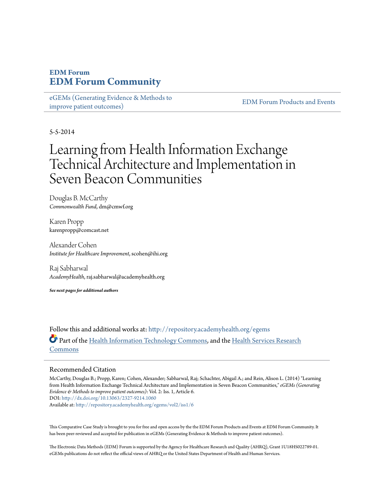# **EDM Forum [EDM Forum Community](http://repository.academyhealth.org?utm_source=repository.academyhealth.org%2Fegems%2Fvol2%2Fiss1%2F6&utm_medium=PDF&utm_campaign=PDFCoverPages)**

[eGEMs \(Generating Evidence & Methods to](http://repository.academyhealth.org/egems?utm_source=repository.academyhealth.org%2Fegems%2Fvol2%2Fiss1%2F6&utm_medium=PDF&utm_campaign=PDFCoverPages) [improve patient outcomes\)](http://repository.academyhealth.org/egems?utm_source=repository.academyhealth.org%2Fegems%2Fvol2%2Fiss1%2F6&utm_medium=PDF&utm_campaign=PDFCoverPages)

[EDM Forum Products and Events](http://repository.academyhealth.org/edm_publications?utm_source=repository.academyhealth.org%2Fegems%2Fvol2%2Fiss1%2F6&utm_medium=PDF&utm_campaign=PDFCoverPages)

5-5-2014

# Learning from Health Information Exchange Technical Architecture and Implementation in Seven Beacon Communities

Douglas B. McCarthy *Commonwealth Fund*, dm@cmwf.org

Karen Propp karenpropp@comcast.net

Alexander Cohen *Institute for Healthcare Improvement*, scohen@ihi.org

Raj Sabharwal *AcademyHealth*, raj.sabharwal@academyhealth.org

*See next pages for additional authors*

Follow this and additional works at: [http://repository.academyhealth.org/egems](http://repository.academyhealth.org/egems?utm_source=repository.academyhealth.org%2Fegems%2Fvol2%2Fiss1%2F6&utm_medium=PDF&utm_campaign=PDFCoverPages) Part of the [Health Information Technology Commons](http://network.bepress.com/hgg/discipline/1239?utm_source=repository.academyhealth.org%2Fegems%2Fvol2%2Fiss1%2F6&utm_medium=PDF&utm_campaign=PDFCoverPages), and the [Health Services Research](http://network.bepress.com/hgg/discipline/816?utm_source=repository.academyhealth.org%2Fegems%2Fvol2%2Fiss1%2F6&utm_medium=PDF&utm_campaign=PDFCoverPages) [Commons](http://network.bepress.com/hgg/discipline/816?utm_source=repository.academyhealth.org%2Fegems%2Fvol2%2Fiss1%2F6&utm_medium=PDF&utm_campaign=PDFCoverPages)

#### Recommended Citation

McCarthy, Douglas B.; Propp, Karen; Cohen, Alexander; Sabharwal, Raj; Schachter, Abigail A.; and Rein, Alison L. (2014) "Learning from Health Information Exchange Technical Architecture and Implementation in Seven Beacon Communities," *eGEMs (Generating Evidence & Methods to improve patient outcomes)*: Vol. 2: Iss. 1, Article 6. DOI: <http://dx.doi.org/10.13063/2327-9214.1060>

Available at: [http://repository.academyhealth.org/egems/vol2/iss1/6](http://repository.academyhealth.org/egems/vol2/iss1/6?utm_source=repository.academyhealth.org%2Fegems%2Fvol2%2Fiss1%2F6&utm_medium=PDF&utm_campaign=PDFCoverPages)

This Comparative Case Study is brought to you for free and open access by the the EDM Forum Products and Events at EDM Forum Community. It has been peer-reviewed and accepted for publication in eGEMs (Generating Evidence & Methods to improve patient outcomes).

The Electronic Data Methods (EDM) Forum is supported by the Agency for Healthcare Research and Quality (AHRQ), Grant 1U18HS022789-01. eGEMs publications do not reflect the official views of AHRQ or the United States Department of Health and Human Services.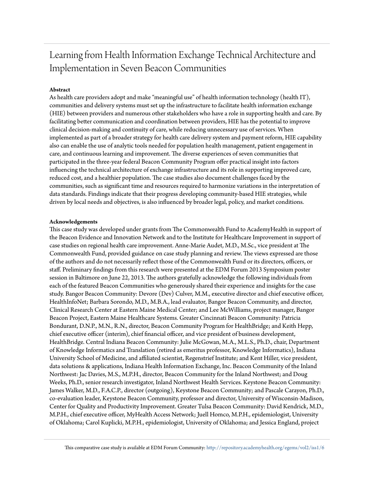# Learning from Health Information Exchange Technical Architecture and Implementation in Seven Beacon Communities

#### **Abstract**

As health care providers adopt and make "meaningful use" of health information technology (health IT), communities and delivery systems must set up the infrastructure to facilitate health information exchange (HIE) between providers and numerous other stakeholders who have a role in supporting health and care. By facilitating better communication and coordination between providers, HIE has the potential to improve clinical decision-making and continuity of care, while reducing unnecessary use of services. When implemented as part of a broader strategy for health care delivery system and payment reform, HIE capability also can enable the use of analytic tools needed for population health management, patient engagement in care, and continuous learning and improvement. The diverse experiences of seven communities that participated in the three-year federal Beacon Community Program offer practical insight into factors influencing the technical architecture of exchange infrastructure and its role in supporting improved care, reduced cost, and a healthier population. The case studies also document challenges faced by the communities, such as significant time and resources required to harmonize variations in the interpretation of data standards. Findings indicate that their progress developing community-based HIE strategies, while driven by local needs and objectives, is also influenced by broader legal, policy, and market conditions.

#### **Acknowledgements**

This case study was developed under grants from The Commonwealth Fund to AcademyHealth in support of the Beacon Evidence and Innovation Network and to the Institute for Healthcare Improvement in support of case studies on regional health care improvement. Anne-Marie Audet, M.D., M.Sc., vice president at The Commonwealth Fund, provided guidance on case study planning and review. The views expressed are those of the authors and do not necessarily reflect those of the Commonwealth Fund or its directors, officers, or staff. Preliminary findings from this research were presented at the EDM Forum 2013 Symposium poster session in Baltimore on June 22, 2013. The authors gratefully acknowledge the following individuals from each of the featured Beacon Communities who generously shared their experience and insights for the case study. Bangor Beacon Community: Devore (Dev) Culver, M.M., executive director and chief executive officer, HealthInfoNet; Barbara Sorondo, M.D., M.B.A., lead evaluator, Bangor Beacon Community, and director, Clinical Research Center at Eastern Maine Medical Center; and Lee McWilliams, project manager, Bangor Beacon Project, Eastern Maine Healthcare Systems. Greater Cincinnati Beacon Community: Patricia Bondurant, D.N.P., M.N., R.N., director, Beacon Community Program for HealthBridge; and Keith Hepp, chief executive officer (interim), chief financial officer, and vice president of business development, HealthBridge. Central Indiana Beacon Community: Julie McGowan, M.A., M.L.S., Ph.D., chair, Department of Knowledge Informatics and Translation (retired as emeritus professor, Knowledge Informatics), Indiana University School of Medicine, and affiliated scientist, Regenstrief Institute; and Kent Hiller, vice president, data solutions & applications, Indiana Health Information Exchange, Inc. Beacon Community of the Inland Northwest: Jac Davies, M.S., M.P.H., director, Beacon Community for the Inland Northwest; and Doug Weeks, Ph.D., senior research investigator, Inland Northwest Health Services. Keystone Beacon Community: James Walker, M.D., F.A.C.P., director (outgoing), Keystone Beacon Community; and Pascale Carayon, Ph.D., co-evaluation leader, Keystone Beacon Community, professor and director, University of Wisconsin-Madison, Center for Quality and Productivity Improvement. Greater Tulsa Beacon Community: David Kendrick, M.D., M.P.H., chief executive officer, MyHealth Access Network; Juell Homco, M.P.H., epidemiologist, University of Oklahoma; Carol Kuplicki, M.P.H., epidemiologist, University of Oklahoma; and Jessica England, project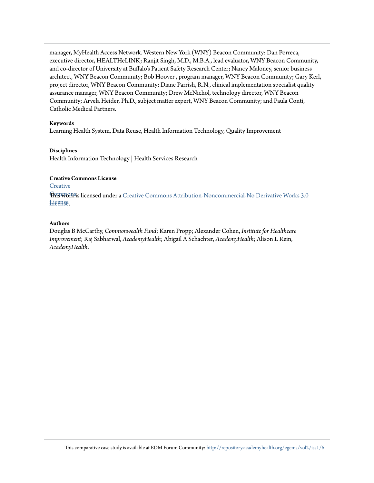manager, MyHealth Access Network. Western New York (WNY) Beacon Community: Dan Porreca, executive director, HEALTHeLINK; Ranjit Singh, M.D., M.B.A., lead evaluator, WNY Beacon Community, and co-director of University at Buffalo's Patient Safety Research Center; Nancy Maloney, senior business architect, WNY Beacon Community; Bob Hoover , program manager, WNY Beacon Community; Gary Kerl, project director, WNY Beacon Community; Diane Parrish, R.N., clinical implementation specialist quality assurance manager, WNY Beacon Community; Drew McNichol, technology director, WNY Beacon Community; Arvela Heider, Ph.D., subject matter expert, WNY Beacon Community; and Paula Conti, Catholic Medical Partners.

#### **Keywords**

Learning Health System, Data Reuse, Health Information Technology, Quality Improvement

#### **Disciplines**

Health Information Technology | Health Services Research

#### **Creative Commons License**

#### **[Creative](http://creativecommons.org/licenses/by-nc-nd/3.0/)**

 $\operatorname{F\!M\!B\!W\!O\!R\!S\!S}$  licensed under a [Creative Commons Attribution-Noncommercial-No Derivative Works 3.0](http://creativecommons.org/licenses/by-nc-nd/3.0/) License [License.](http://creativecommons.org/licenses/by-nc-nd/3.0/)

#### **Authors**

Douglas B McCarthy, *Commonwealth Fund*; Karen Propp; Alexander Cohen, *Institute for Healthcare Improvement*; Raj Sabharwal, *AcademyHealth*; Abigail A Schachter, *AcademyHealth*; Alison L Rein, *AcademyHealth*.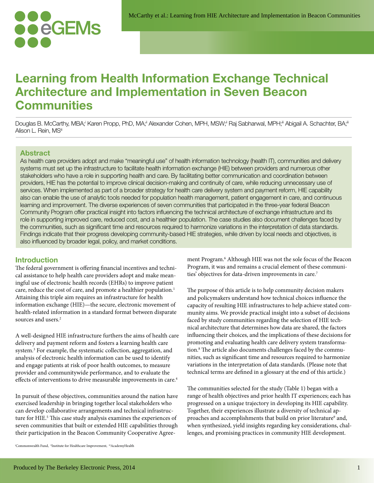

# **Learning from Health Information Exchange Technical Architecture and Implementation in Seven Beacon Communities**

Douglas B. McCarthy, MBA;<sup>i</sup> Karen Propp, PhD, MA;<sup>i</sup> Alexander Cohen, MPH, MSW;<sup>i</sup> Raj Sabharwal, MPH;<sup>ii</sup> Abigail A. Schachter, BA;<sup>ii</sup> Alison L. Rein, MSiii

#### **Abstract**

As health care providers adopt and make "meaningful use" of health information technology (health IT), communities and delivery systems must set up the infrastructure to facilitate health information exchange (HIE) between providers and numerous other stakeholders who have a role in supporting health and care. By facilitating better communication and coordination between providers, HIE has the potential to improve clinical decision-making and continuity of care, while reducing unnecessary use of services. When implemented as part of a broader strategy for health care delivery system and payment reform, HIE capability also can enable the use of analytic tools needed for population health management, patient engagement in care, and continuous learning and improvement. The diverse experiences of seven communities that participated in the three-year federal Beacon Community Program offer practical insight into factors influencing the technical architecture of exchange infrastructure and its role in supporting improved care, reduced cost, and a healthier population. The case studies also document challenges faced by the communities, such as significant time and resources required to harmonize variations in the interpretation of data standards. Findings indicate that their progress developing community-based HIE strategies, while driven by local needs and objectives, is also influenced by broader legal, policy, and market conditions.

#### **Introduction**

The federal government is offering financial incentives and technical assistance to help health care providers adopt and make meaningful use of electronic health records (EHRs) to improve patient care, reduce the cost of care, and promote a healthier population.<sup>1</sup> Attaining this triple aim requires an infrastructure for health information exchange (HIE)—the secure, electronic movement of health-related information in a standard format between disparate sources and users.<sup>2</sup>

A well-designed HIE infrastructure furthers the aims of health care delivery and payment reform and fosters a learning health care system.<sup>3</sup> For example, the systematic collection, aggregation, and analysis of electronic health information can be used to identify and engage patients at risk of poor health outcomes, to measure provider and communitywide performance, and to evaluate the effects of interventions to drive measurable improvements in care.<sup>4</sup>

In pursuit of these objectives, communities around the nation have exercised leadership in bringing together local stakeholders who can develop collaborative arrangements and technical infrastructure for HIE.<sup>5</sup> This case study analysis examines the experiences of seven communities that built or extended HIE capabilities through their participation in the Beacon Community Cooperative Agree-

ment Program.<sup>6</sup> Although HIE was not the sole focus of the Beacon Program, it was and remains a crucial element of these communities' objectives for data-driven improvements in care.<sup>7</sup>

The purpose of this article is to help community decision makers and policymakers understand how technical choices influence the capacity of resulting HIE infrastructures to help achieve stated community aims. We provide practical insight into a subset of decisions faced by study communities regarding the selection of HIE technical architecture that determines how data are shared, the factors influencing their choices, and the implications of these decisions for promoting and evaluating health care delivery system transformation.<sup>8</sup> The article also documents challenges faced by the communities, such as significant time and resources required to harmonize variations in the interpretation of data standards. (Please note that technical terms are defined in a glossary at the end of this article.)

The communities selected for the study (Table 1) began with a range of health objectives and prior health IT experiences; each has progressed on a unique trajectory in developing its HIE capability. Together, their experiences illustrate a diversity of technical approaches and accomplishments that build on prior literature<sup>9</sup> and, when synthesized, yield insights regarding key considerations, challenges, and promising practices in community HIE development.

<sup>i</sup>Commonwealth Fund, iiInstitute for Healthcare Improvement, iiiAcademyHealth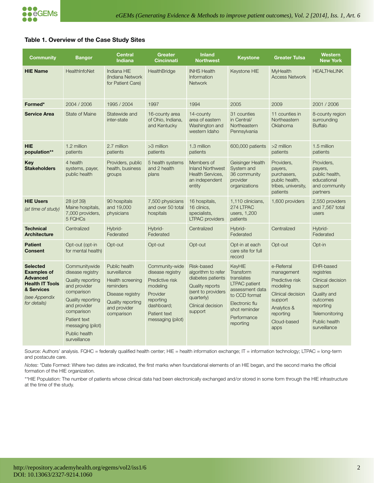#### **Table 1. Overview of the Case Study Sites**

| <b>Community</b>                                                                                                                  | <b>Bangor</b>                                                                                                                                                                                                               | <b>Central</b><br><b>Indiana</b>                                                                                                             | Greater<br><b>Cincinnati</b>                                                                                                                  | <b>Inland</b><br><b>Northwest</b>                                                                                                                   | <b>Keystone</b>                                                                                                                                                     | <b>Greater Tulsa</b>                                                                                                                       | <b>Western</b><br><b>New York</b>                                                                                                                  |
|-----------------------------------------------------------------------------------------------------------------------------------|-----------------------------------------------------------------------------------------------------------------------------------------------------------------------------------------------------------------------------|----------------------------------------------------------------------------------------------------------------------------------------------|-----------------------------------------------------------------------------------------------------------------------------------------------|-----------------------------------------------------------------------------------------------------------------------------------------------------|---------------------------------------------------------------------------------------------------------------------------------------------------------------------|--------------------------------------------------------------------------------------------------------------------------------------------|----------------------------------------------------------------------------------------------------------------------------------------------------|
| <b>HIE Name</b>                                                                                                                   | HealthInfoNet                                                                                                                                                                                                               | Indiana HIE<br>Indiana Network<br>for Patient Care)                                                                                          | HealthBridge                                                                                                                                  | <b>INHS Health</b><br>Information<br><b>Network</b>                                                                                                 | Keystone HIE                                                                                                                                                        | MyHealth<br><b>Access Network</b>                                                                                                          | <b>HEALTHeLINK</b>                                                                                                                                 |
| Formed*                                                                                                                           | 2004 / 2006                                                                                                                                                                                                                 | 1995 / 2004                                                                                                                                  | 1997                                                                                                                                          | 1994                                                                                                                                                | 2005                                                                                                                                                                | 2009                                                                                                                                       | 2001 / 2006                                                                                                                                        |
| <b>Service Area</b>                                                                                                               | <b>State of Maine</b>                                                                                                                                                                                                       | Statewide and<br>inter-state                                                                                                                 | 16-county area<br>of Ohio, Indiana,<br>and Kentucky                                                                                           | 14-county<br>area of eastern<br>Washington and<br>western Idaho                                                                                     | 31 counties<br>in Central/<br>Northeastern<br>Pennsylvania                                                                                                          | 11 counties in<br>Northeastern<br>Oklahoma                                                                                                 | 8-county region<br>surrounding<br><b>Buffalo</b>                                                                                                   |
| <b>HIE</b><br>population**                                                                                                        | 1.2 million<br>patients                                                                                                                                                                                                     | 2.7 million<br>patients                                                                                                                      | >3 million<br>patients                                                                                                                        | 1.3 million<br>patients                                                                                                                             | 600,000 patients                                                                                                                                                    | >2 million<br>patients                                                                                                                     | 1.5 million<br>patients                                                                                                                            |
| Key<br><b>Stakeholders</b>                                                                                                        | 4 health<br>systems, payer,<br>public health                                                                                                                                                                                | Providers, public<br>health, business<br>groups                                                                                              | 5 health systems<br>and 2 health<br>plans                                                                                                     | Members of<br><b>Inland Northwest</b><br><b>Health Services,</b><br>an independent<br>entity                                                        | Geisinger Health<br>System and<br>36 community<br>provider<br>organizations                                                                                         | Providers,<br>payers.<br>purchasers,<br>public health,<br>tribes, university,<br>patients                                                  | Providers,<br>payers,<br>public health,<br>educational<br>and community<br>partners                                                                |
| <b>HIE Users</b><br>(at time of study)                                                                                            | 28 (of 39)<br>Maine hospitals,<br>7,000 providers,<br>5 FQHCs                                                                                                                                                               | 90 hospitals<br>and 19,000<br>physicians                                                                                                     | 7,500 physicians<br>and over 50 total<br>hospitals                                                                                            | 16 hospitals,<br>16 clinics.<br>specialists,<br><b>LTPAC</b> providers                                                                              | 1,110 clinicians,<br>274 LTPAC<br>users, 1,200<br>patients                                                                                                          | 1,600 providers                                                                                                                            | 2,550 providers<br>and 7,567 total<br>users                                                                                                        |
| <b>Technical</b><br><b>Architecture</b>                                                                                           | Centralized                                                                                                                                                                                                                 | Hybrid-<br>Federated                                                                                                                         | Hybrid-<br>Federated                                                                                                                          | Centralized                                                                                                                                         | Hybrid-<br>Federated                                                                                                                                                | Centralized                                                                                                                                | Hybrid-<br>Federated                                                                                                                               |
| <b>Patient</b><br><b>Consent</b>                                                                                                  | Opt-out (opt-in<br>for mental health)                                                                                                                                                                                       | Opt-out                                                                                                                                      | Opt-out                                                                                                                                       | Opt-out                                                                                                                                             | Opt-in at each<br>care site for full<br>record                                                                                                                      | Opt-out                                                                                                                                    | Opt-in                                                                                                                                             |
| <b>Selected</b><br><b>Examples of</b><br><b>Advanced</b><br><b>Health IT Tools</b><br>& Services<br>(see Appendix<br>for details) | Communitywide<br>disease registry<br><b>Quality reporting</b><br>and provider<br>comparison<br><b>Quality reporting</b><br>and provider<br>comparison<br>Patient text<br>messaging (pilot)<br>Public health<br>surveillance | Public health<br>surveillance<br>Health screening<br>reminders<br>Disease registry<br><b>Quality reporting</b><br>and provider<br>comparison | Community-wide<br>disease registry<br>Predictive risk<br>modeling<br>Provider<br>reporting<br>dashboard;<br>Patient text<br>messaging (pilot) | Risk-based<br>algorithm to refer<br>diabetes patients<br><b>Quality reports</b><br>(sent to providers<br>quarterly)<br>Clinical decision<br>support | <b>KeyHIE</b><br>Transform<br>translates<br><b>LTPAC</b> patient<br>assessment data<br>to CCD format<br>Electronic flu<br>shot reminder<br>Performance<br>reporting | e-Referral<br>management<br>Predictive risk<br>modeling<br>Clinical decision<br>support<br>Analytics &<br>reporting<br>Cloud-based<br>apps | EHR-based<br>registries<br>Clinical decision<br>support<br>Quality and<br>outcomes<br>reporting<br>Telemonitoring<br>Public health<br>surveillance |

Source: Authors' analysis. FQHC = federally qualified health center; HIE = health information exchange; IT = information technology; LTPAC = long-term and postacute care.

*Notes*: \*Date Formed: Where two dates are indicated, the first marks when foundational elements of an HIE began, and the second marks the official formation of the HIE organization.

\*\*HIE Population: The number of patients whose clinical data had been electronically exchanged and/or stored in some form through the HIE infrastructure at the time of the study.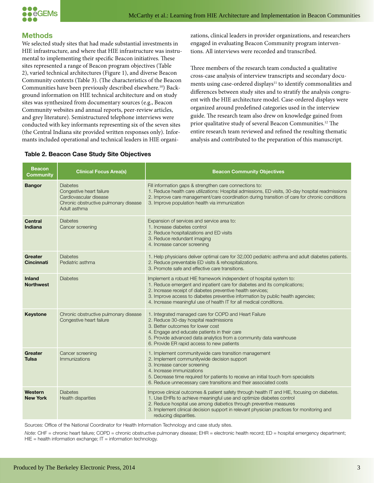

# **Methods**

We selected study sites that had made substantial investments in HIE infrastructure, and where that HIE infrastructure was instrumental to implementing their specific Beacon initiatives. These sites represented a range of Beacon program objectives (Table 2), varied technical architectures (Figure 1), and diverse Beacon Community contexts (Table 3). (The characteristics of the Beacon Communities have been previously described elsewhere.10) Background information on HIE technical architecture and on study sites was synthesized from documentary sources (e.g., Beacon Community websites and annual reports, peer-review articles, and grey literature). Semistructured telephone interviews were conducted with key informants representing six of the seven sites (the Central Indiana site provided written responses only). Informants included operational and technical leaders in HIE organizations, clinical leaders in provider organizations, and researchers engaged in evaluating Beacon Community program interventions. All interviews were recorded and transcribed.

Three members of the research team conducted a qualitative cross-case analysis of interview transcripts and secondary documents using case-ordered displays<sup>11</sup> to identify commonalities and differences between study sites and to stratify the analysis congruent with the HIE architecture model. Case-ordered displays were organized around predefined categories used in the interview guide. The research team also drew on knowledge gained from prior qualitative study of several Beacon Communities.12 The entire research team reviewed and refined the resulting thematic analysis and contributed to the preparation of this manuscript.

| <b>Beacon</b><br><b>Community</b> | <b>Clinical Focus Area(s)</b>                                                                                                  | <b>Beacon Community Objectives</b>                                                                                                                                                                                                                                                                                                                                        |
|-----------------------------------|--------------------------------------------------------------------------------------------------------------------------------|---------------------------------------------------------------------------------------------------------------------------------------------------------------------------------------------------------------------------------------------------------------------------------------------------------------------------------------------------------------------------|
| <b>Bangor</b>                     | <b>Diabetes</b><br>Congestive heart failure<br>Cardiovascular disease<br>Chronic obstructive pulmonary disease<br>Adult asthma | Fill information gaps & strengthen care connections to:<br>1. Reduce health care utilizations: Hospital admissions, ED visits, 30-day hospital readmissions<br>2. Improve care management/care coordination during transition of care for chronic conditions<br>3. Improve population health via immunization                                                             |
| <b>Central</b><br>Indiana         | <b>Diabetes</b><br>Cancer screening                                                                                            | Expansion of services and service area to:<br>1. Increase diabetes control<br>2. Reduce hospitalizations and ED visits<br>3. Reduce redundant imaging<br>4. Increase cancer screening                                                                                                                                                                                     |
| Greater<br><b>Cincinnati</b>      | <b>Diabetes</b><br>Pediatric asthma                                                                                            | 1. Help physicians deliver optimal care for 32,000 pediatric asthma and adult diabetes patients.<br>2. Reduce preventable ED visits & rehospitalizations.<br>3. Promote safe and effective care transitions.                                                                                                                                                              |
| <b>Inland</b><br><b>Northwest</b> | <b>Diabetes</b>                                                                                                                | Implement a robust HIE framework independent of hospital system to:<br>1. Reduce emergent and inpatient care for diabetes and its complications;<br>2. Increase receipt of diabetes preventive health services;<br>3. Improve access to diabetes preventive information by public health agencies;<br>4. Increase meaningful use of health IT for all medical conditions. |
| <b>Keystone</b>                   | Chronic obstructive pulmonary disease<br>Congestive heart failure                                                              | 1. Integrated managed care for COPD and Heart Failure<br>2. Reduce 30-day hospital readmissions<br>3. Better outcomes for lower cost<br>4. Engage and educate patients in their care<br>5. Provide advanced data analytics from a community data warehouse<br>6. Provide ER rapid access to new patients                                                                  |
| Greater<br><b>Tulsa</b>           | Cancer screening<br>Immunizations                                                                                              | 1. Implement communitywide care transition management<br>2. Implement communitywide decision support<br>3. Increase cancer screening<br>4. Increase immunizations<br>5. Decrease time required for patients to receive an initial touch from specialists<br>6. Reduce unnecessary care transitions and their associated costs                                             |
| Western<br><b>New York</b>        | <b>Diabetes</b><br><b>Health disparities</b>                                                                                   | Improve clinical outcomes & patient safety through health IT and HIE, focusing on diabetes.<br>1. Use EHRs to achieve meaningful use and optimize diabetes control<br>2. Reduce hospital use among diabetics through preventive measures<br>3. Implement clinical decision support in relevant physician practices for monitoring and<br>reducing disparities.            |

#### **Table 2. Beacon Case Study Site Objectives**

Sources: Office of the National Coordinator for Health Information Technology and case study sites.

*Note*: CHF = chronic heart failure; COPD = chronic obstructive pulmonary disease; EHR = electronic health record; ED = hospital emergency department;  $HIE =$  health information exchange;  $IT =$  information technology.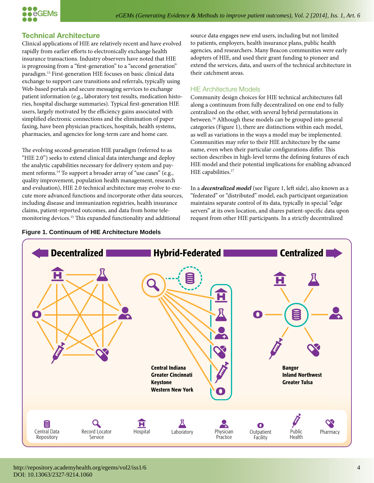

# **Technical Architecture**

Clinical applications of HIE are relatively recent and have evolved rapidly from earlier efforts to electronically exchange health insurance transactions. Industry observers have noted that HIE is progressing from a "first-generation" to a "second generation" paradigm.13 First-generation HIE focuses on basic clinical data exchange to support care transitions and referrals, typically using Web-based portals and secure messaging services to exchange patient information (e.g., laboratory test results, medication histories, hospital discharge summaries). Typical first-generation HIE users, largely motivated by the efficiency gains associated with simplified electronic connections and the elimination of paper faxing, have been physician practices, hospitals, health systems, pharmacies, and agencies for long-term care and home care.

The evolving second-generation HIE paradigm (referred to as "HIE 2.0") seeks to extend clinical data interchange and deploy the analytic capabilities necessary for delivery system and payment reforms.<sup>14</sup> To support a broader array of "use cases" (e.g., quality improvement, population health management, research and evaluation), HIE 2.0 technical architecture may evolve to execute more advanced functions and incorporate other data sources, including disease and immunization registries, health insurance claims, patient-reported outcomes, and data from home telemonitoring devices.15 This expanded functionality and additional



source data engages new end users, including but not limited to patients, employers, health insurance plans, public health agencies, and researchers. Many Beacon communities were early adopters of HIE, and used their grant funding to pioneer and extend the services, data, and users of the technical architecture in their catchment areas.

# HIE Architecture Models

Community design choices for HIE technical architectures fall along a continuum from fully decentralized on one end to fully centralized on the other, with several hybrid permutations in between.<sup>16</sup> Although these models can be grouped into general categories (Figure 1), there are distinctions within each model, as well as variations in the ways a model may be implemented. Communities may refer to their HIE architecture by the same name, even when their particular configurations differ. This section describes in high-level terms the defining features of each HIE model and their potential implications for enabling advanced HIE capabilities.<sup>17</sup>

In a *decentralized model* (see Figure 1, left side), also known as a "federated" or "distributed" model, each participant organization maintains separate control of its data, typically in special "edge servers" at its own location, and shares patient-specific data upon request from other HIE participants. In a strictly decentralized

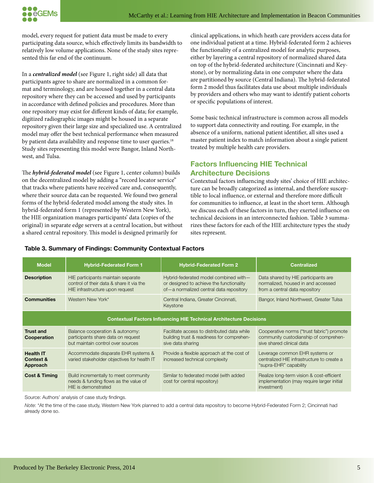

model, every request for patient data must be made to every participating data source, which effectively limits its bandwidth to relatively low volume applications. None of the study sites represented this far end of the continuum.

In a *centralized model* (see Figure 1, right side) all data that participants agree to share are normalized in a common format and terminology, and are housed together in a central data repository where they can be accessed and used by participants in accordance with defined policies and procedures. More than one repository may exist for different kinds of data; for example, digitized radiographic images might be housed in a separate repository given their large size and specialized use. A centralized model may offer the best technical performance when measured by patient data availability and response time to user queries.<sup>18</sup> Study sites representing this model were Bangor, Inland Northwest, and Tulsa.

The *hybrid-federated model* (see Figure 1, center column) builds on the decentralized model by adding a "record locator service" that tracks where patients have received care and, consequently, where their source data can be requested. We found two general forms of the hybrid-federated model among the study sites. In hybrid-federated form 1 (represented by Western New York), the HIE organization manages participants' data (copies of the original) in separate edge servers at a central location, but without a shared central repository. This model is designed primarily for

clinical applications, in which heath care providers access data for one individual patient at a time. Hybrid-federated form 2 achieves the functionality of a centralized model for analytic purposes, either by layering a central repository of normalized shared data on top of the hybrid-federated architecture (Cincinnati and Keystone), or by normalizing data in one computer where the data are partitioned by source (Central Indiana). The hybrid-federated form 2 model thus facilitates data use about multiple individuals by providers and others who may want to identify patient cohorts or specific populations of interest.

Some basic technical infrastructure is common across all models to support data connectivity and routing. For example, in the absence of a uniform, national patient identifier, all sites used a master patient index to match information about a single patient treated by multiple health care providers.

# **Factors Influencing HIE Technical Architecture Decisions**

Contextual factors influencing study sites' choice of HIE architecture can be broadly categorized as internal, and therefore susceptible to local influence, or external and therefore more difficult for communities to influence, at least in the short term. Although we discuss each of these factors in turn, they exerted influence on technical decisions in an interconnected fashion. Table 3 summarizes these factors for each of the HIE architecture types the study sites represent.

| <b>Model</b>                                                               | <b>Hybrid-Federated Form 1</b>                                                                                    | <b>Hybrid-Federated Form 2</b>                                                                                               | <b>Centralized</b>                                                                                               |  |
|----------------------------------------------------------------------------|-------------------------------------------------------------------------------------------------------------------|------------------------------------------------------------------------------------------------------------------------------|------------------------------------------------------------------------------------------------------------------|--|
| <b>Description</b>                                                         | HIE participants maintain separate<br>control of their data & share it via the<br>HIE infrastructure upon request | Hybrid-federated model combined with-<br>or designed to achieve the functionality<br>of-a normalized central data repository | Data shared by HIE participants are<br>normalized, housed in and accessed<br>from a central data repository      |  |
| <b>Communities</b>                                                         | Western New York*                                                                                                 | Central Indiana, Greater Cincinnati,<br>Keystone                                                                             | Bangor, Inland Northwest, Greater Tulsa                                                                          |  |
| <b>Contextual Factors Influencing HIE Technical Architecture Decisions</b> |                                                                                                                   |                                                                                                                              |                                                                                                                  |  |
| <b>Trust and</b><br>Cooperation                                            | Balance cooperation & autonomy:<br>participants share data on request<br>but maintain control over sources        | Facilitate access to distributed data while<br>building trust & readiness for comprehen-<br>sive data sharing                | Cooperative norms ("trust fabric") promote<br>community custodianship of comprehen-<br>sive shared clinical data |  |
| <b>Health IT</b><br><b>Context &amp;</b><br>Approach                       | Accommodate disparate EHR systems &<br>varied stakeholder objectives for health IT                                | Provide a flexible approach at the cost of<br>increased technical complexity                                                 | Leverage common EHR systems or<br>centralized HIE infrastructure to create a<br>"supra-EHR" capability           |  |
| <b>Cost &amp; Timing</b>                                                   | Build incrementally to meet community<br>needs & funding flows as the value of<br>HIE is demonstrated             | Similar to federated model (with added<br>cost for central repository)                                                       | Realize long-term vision & cost-efficient<br>implementation (may require larger initial<br>investment)           |  |

#### **Table 3. Summary of Findings: Community Contextual Factors**

Source: Authors' analysis of case study findings.

*Note*: \*At the time of the case study, Western New York planned to add a central data repository to become Hybrid-Federated Form 2; Cincinnati had already done so.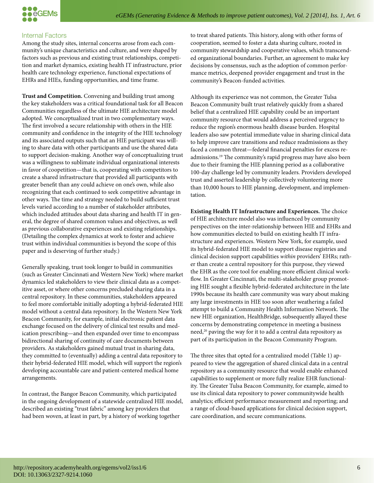

#### Internal Factors

Among the study sites, internal concerns arose from each community's unique characteristics and culture, and were shaped by factors such as previous and existing trust relationships, competition and market dynamics, existing health IT infrastructure, prior health care technology experience, functional expectations of EHRs and HIEs, funding opportunities, and time frame.

**Trust and Competition.** Convening and building trust among the key stakeholders was a critical foundational task for all Beacon Communities regardless of the ultimate HIE architecture model adopted. We conceptualized trust in two complementary ways. The first involved a secure relationship with others in the HIE community and confidence in the integrity of the HIE technology and its associated outputs such that an HIE participant was willing to share data with other participants and use the shared data to support decision-making. Another way of conceptualizing trust was a willingness to sublimate individual organizational interests in favor of coopetition—that is, cooperating with competitors to create a shared infrastructure that provided all participants with greater benefit than any could achieve on one's own, while also recognizing that each continued to seek competitive advantage in other ways. The time and strategy needed to build sufficient trust levels varied according to a number of stakeholder attributes, which included attitudes about data sharing and health IT in general, the degree of shared common values and objectives, as well as previous collaborative experiences and existing relationships. (Detailing the complex dynamics at work to foster and achieve trust within individual communities is beyond the scope of this paper and is deserving of further study.)

Generally speaking, trust took longer to build in communities (such as Greater Cincinnati and Western New York) where market dynamics led stakeholders to view their clinical data as a competitive asset, or where other concerns precluded sharing data in a central repository. In these communities, stakeholders appeared to feel more comfortable initially adopting a hybrid-federated HIE model without a central data repository. In the Western New York Beacon Community, for example, initial electronic patient data exchange focused on the delivery of clinical test results and medication prescribing—and then expanded over time to encompass bidirectional sharing of continuity of care documents between providers. As stakeholders gained mutual trust in sharing data, they committed to (eventually) adding a central data repository to their hybrid-federated HIE model, which will support the region's developing accountable care and patient-centered medical home arrangements.

In contrast, the Bangor Beacon Community, which participated in the ongoing development of a statewide centralized HIE model, described an existing "trust fabric" among key providers that had been woven, at least in part, by a history of working together

to treat shared patients. This history, along with other forms of cooperation, seemed to foster a data sharing culture, rooted in community stewardship and cooperative values, which transcended organizational boundaries. Further, an agreement to make key decisions by consensus, such as the adoption of common performance metrics, deepened provider engagement and trust in the community's Beacon-funded activities.

Although its experience was not common, the Greater Tulsa Beacon Community built trust relatively quickly from a shared belief that a centralized HIE capability could be an important community resource that would address a perceived urgency to reduce the region's enormous health disease burden. Hospital leaders also saw potential immediate value in sharing clinical data to help improve care transitions and reduce readmissions as they faced a common threat—federal financial penalties for excess readmissions.19 The community's rapid progress may have also been due to their framing the HIE planning period as a collaborative 100-day challenge led by community leaders. Providers developed trust and asserted leadership by collectively volunteering more than 10,000 hours to HIE planning, development, and implementation.

**Existing Health IT Infrastructure and Experiences.** The choice of HIE architecture model also was influenced by community perspectives on the inter-relationship between HIE and EHRs and how communities elected to build on existing health IT infrastructure and experiences. Western New York, for example, used its hybrid-federated HIE model to support disease registries and clinical decision support capabilities within providers' EHRs; rather than create a central repository for this purpose, they viewed the EHR as the core tool for enabling more efficient clinical workflow. In Greater Cincinnati, the multi-stakeholder group promoting HIE sought a flexible hybrid-federated architecture in the late 1990s because its health care community was wary about making any large investments in HIE too soon after weathering a failed attempt to build a Community Health Information Network. The new HIE organization, HealthBridge, subsequently allayed these concerns by demonstrating competence in meeting a business need,<sup>20</sup> paving the way for it to add a central data repository as part of its participation in the Beacon Community Program.

The three sites that opted for a centralized model (Table 1) appeared to view the aggregation of shared clinical data in a central repository as a community resource that would enable enhanced capabilities to supplement or more fully realize EHR functionality. The Greater Tulsa Beacon Community, for example, aimed to use its clinical data repository to power communitywide health analytics; efficient performance measurement and reporting; and a range of cloud-based applications for clinical decision support, care coordination, and secure communications.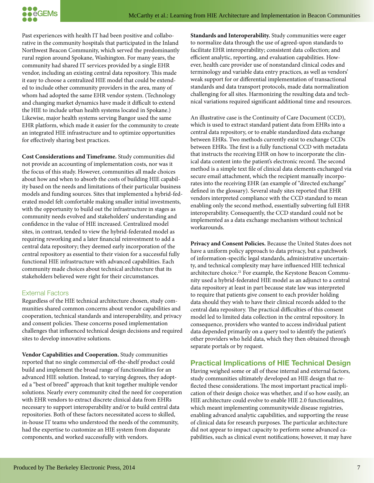

Past experiences with health IT had been positive and collaborative in the community hospitals that participated in the Inland Northwest Beacon Community, which served the predominantly rural region around Spokane, Washington. For many years, the community had shared IT services provided by a single EHR vendor, including an existing central data repository. This made it easy to choose a centralized HIE model that could be extended to include other community providers in the area, many of whom had adopted the same EHR vendor system. (Technology and changing market dynamics have made it difficult to extend the HIE to include urban health systems located in Spokane.) Likewise, major health systems serving Bangor used the same EHR platform, which made it easier for the community to create an integrated HIE infrastructure and to optimize opportunities for effectively sharing best practices.

**Cost Considerations and Timeframe.** Study communities did not provide an accounting of implementation costs, nor was it the focus of this study. However, communities all made choices about how and when to absorb the costs of building HIE capability based on the needs and limitations of their particular business models and funding sources. Sites that implemented a hybrid-federated model felt comfortable making smaller initial investments, with the opportunity to build out the infrastructure in stages as community needs evolved and stakeholders' understanding and confidence in the value of HIE increased. Centralized model sites, in contrast, tended to view the hybrid-federated model as requiring reworking and a later financial reinvestment to add a central data repository; they deemed early incorporation of the central repository as essential to their vision for a successful fully functional HIE infrastructure with advanced capabilities. Each community made choices about technical architecture that its stakeholders believed were right for their circumstances.

#### External Factors

Regardless of the HIE technical architecture chosen, study communities shared common concerns about vendor capabilities and cooperation, technical standards and interoperability, and privacy and consent policies. These concerns posed implementation challenges that influenced technical design decisions and required sites to develop innovative solutions.

**Vendor Capabilities and Cooperation.** Study communities reported that no single commercial off-the-shelf product could build and implement the broad range of functionalities for an advanced HIE solution. Instead, to varying degrees, they adopted a "best of breed" approach that knit together multiple vendor solutions. Nearly every community cited the need for cooperation with EHR vendors to extract discrete clinical data from EHRs necessary to support interoperability and/or to build central data repositories. Both of these factors necessitated access to skilled, in-house IT teams who understood the needs of the community, had the expertise to customize an HIE system from disparate components, and worked successfully with vendors.

**Standards and Interoperability.** Study communities were eager to normalize data through the use of agreed-upon standards to facilitate EHR interoperability; consistent data collection; and efficient analytic, reporting, and evaluation capabilities. However, health care provider use of nonstandard clinical codes and terminology and variable data entry practices, as well as vendors' weak support for or differential implementation of transactional standards and data transport protocols, made data normalization challenging for all sites. Harmonizing the resulting data and technical variations required significant additional time and resources.

An illustrative case is the Continuity of Care Document (CCD), which is used to extract standard patient data from EHRs into a central data repository, or to enable standardized data exchange between EHRs. Two methods currently exist to exchange CCDs between EHRs. The first is a fully functional CCD with metadata that instructs the receiving EHR on how to incorporate the clinical data content into the patient's electronic record. The second method is a simple text file of clinical data elements exchanged via secure email attachment, which the recipient manually incorporates into the receiving EHR (an example of "directed exchange" defined in the glossary). Several study sites reported that EHR vendors interpreted compliance with the CCD standard to mean enabling only the second method, essentially subverting full EHR interoperability. Consequently, the CCD standard could not be implemented as a data exchange mechanism without technical workarounds.

**Privacy and Consent Policies.** Because the United States does not have a uniform policy approach to data privacy, but a patchwork of information-specific legal standards, administrative uncertainty, and technical complexity may have influenced HIE technical architecture choice.<sup>21</sup> For example, the Keystone Beacon Community used a hybrid-federated HIE model as an adjunct to a central data repository at least in part because state law was interpreted to require that patients give consent to each provider holding data should they wish to have their clinical records added to the central data repository. The practical difficulties of this consent model led to limited data collection in the central repository. In consequence, providers who wanted to access individual patient data depended primarily on a query tool to identify the patient's other providers who held data, which they then obtained through separate portals or by request.

## **Practical Implications of HIE Technical Design**

Having weighed some or all of these internal and external factors, study communities ultimately developed an HIE design that reflected these considerations. The most important practical implication of their design choice was whether, and if so how easily, an HIE architecture could evolve to enable HIE 2.0 functionalities, which meant implementing communitywide disease registries, enabling advanced analytic capabilities, and supporting the reuse of clinical data for research purposes. The particular architecture did not appear to impact capacity to perform some advanced capabilities, such as clinical event notifications; however, it may have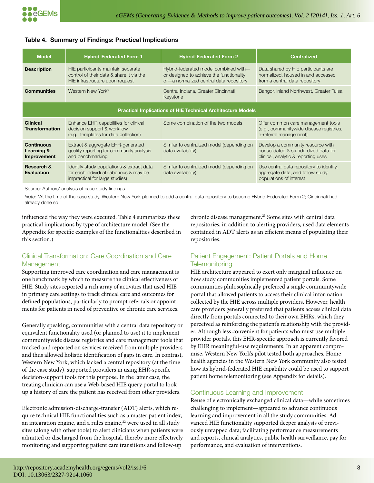#### **Table 4. Summary of Findings: Practical Implications**

| <b>Model</b>                                                       | <b>Hybrid-Federated Form 1</b>                                                                                         | <b>Hybrid-Federated Form 2</b>                                                                                               | <b>Centralized</b>                                                                                               |  |
|--------------------------------------------------------------------|------------------------------------------------------------------------------------------------------------------------|------------------------------------------------------------------------------------------------------------------------------|------------------------------------------------------------------------------------------------------------------|--|
| <b>Description</b>                                                 | HIE participants maintain separate<br>control of their data & share it via the<br>HIE infrastructure upon request      | Hybrid-federated model combined with-<br>or designed to achieve the functionality<br>of-a normalized central data repository | Data shared by HIE participants are<br>normalized, housed in and accessed<br>from a central data repository      |  |
| <b>Communities</b>                                                 | Western New York*                                                                                                      | Central Indiana, Greater Cincinnati,<br>Keystone                                                                             | Bangor, Inland Northwest, Greater Tulsa                                                                          |  |
| <b>Practical Implications of HIE Technical Architecture Models</b> |                                                                                                                        |                                                                                                                              |                                                                                                                  |  |
| <b>Clinical</b><br><b>Transformation</b>                           | Enhance EHR capabilities for clinical<br>decision support & workflow<br>(e.g., templates for data collection)          | Some combination of the two models                                                                                           | Offer common care management tools<br>(e.g., communitywide disease registries,<br>e-referral management)         |  |
| <b>Continuous</b><br>Learning &<br>Improvement                     | Extract & aggregate EHR-generated<br>quality reporting for community analysis<br>and benchmarking                      | Similar to centralized model (depending on<br>data availability)                                                             | Develop a community resource with<br>consolidated & standardized data for<br>clinical, analytic & reporting uses |  |
| Research &<br><b>Evaluation</b>                                    | Identify study populations & extract data<br>for each individual (laborious & may be<br>impractical for large studies) | Similar to centralized model (depending on<br>data availability)                                                             | Use central data repository to identify,<br>aggregate data, and follow study<br>populations of interest          |  |

Source: Authors' analysis of case study findings.

*Note*: \*At the time of the case study, Western New York planned to add a central data repository to become Hybrid-Federated Form 2; Cincinnati had already done so.

influenced the way they were executed. Table 4 summarizes these practical implications by type of architecture model. (See the Appendix for specific examples of the functionalities described in this section.)

## Clinical Transformation: Care Coordination and Care Management

Supporting improved care coordination and care management is one benchmark by which to measure the clinical effectiveness of HIE. Study sites reported a rich array of activities that used HIE in primary care settings to track clinical care and outcomes for defined populations, particularly to prompt referrals or appointments for patients in need of preventive or chronic care services.

Generally speaking, communities with a central data repository or equivalent functionality used (or planned to use) it to implement communitywide disease registries and care management tools that tracked and reported on services received from multiple providers and thus allowed holistic identification of gaps in care. In contrast, Western New York, which lacked a central repository (at the time of the case study), supported providers in using EHR-specific decision-support tools for this purpose. In the latter case, the treating clinician can use a Web-based HIE query portal to look up a history of care the patient has received from other providers.

Electronic admission-discharge-transfer (ADT) alerts, which require technical HIE functionalities such as a master patient index, an integration engine, and a rules engine,<sup>22</sup> were used in all study sites (along with other tools) to alert clinicians when patients were admitted or discharged from the hospital, thereby more effectively monitoring and supporting patient care transitions and follow-up

chronic disease management.<sup>23</sup> Some sites with central data repositories, in addition to alerting providers, used data elements contained in ADT alerts as an efficient means of populating their repositories.

## Patient Engagement: Patient Portals and Home **Telemonitoring**

HIE architecture appeared to exert only marginal influence on how study communities implemented patient portals. Some communities philosophically preferred a single communitywide portal that allowed patients to access their clinical information collected by the HIE across multiple providers. However, health care providers generally preferred that patients access clinical data directly from portals connected to their own EHRs, which they perceived as reinforcing the patient's relationship with the provider. Although less convenient for patients who must use multiple provider portals, this EHR-specific approach is currently favored by EHR meaningful-use requirements. In an apparent compromise, Western New York's pilot tested both approaches. Home health agencies in the Western New York community also tested how its hybrid-federated HIE capability could be used to support patient home telemonitoring (see Appendix for details).

#### Continuous Learning and Improvement

Reuse of electronically exchanged clinical data—while sometimes challenging to implement—appeared to advance continuous learning and improvement in all the study communities. Advanced HIE functionality supported deeper analysis of previously untapped data; facilitating performance measurements and reports, clinical analytics, public health surveillance, pay for performance, and evaluation of interventions.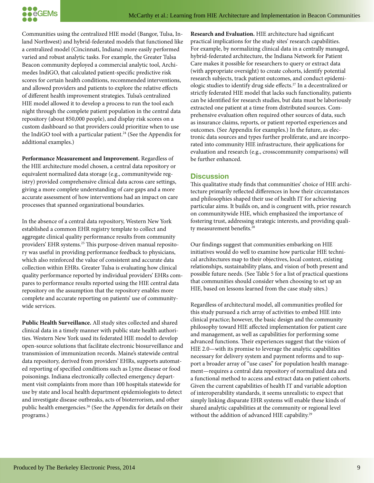

Communities using the centralized HIE model (Bangor, Tulsa, Inland Northwest) and hybrid-federated models that functioned like a centralized model (Cincinnati, Indiana) more easily performed varied and robust analytic tasks. For example, the Greater Tulsa Beacon community deployed a commercial analytic tool, Archimedes IndiGO, that calculated patient-specific predictive risk scores for certain health conditions, recommended interventions, and allowed providers and patients to explore the relative effects of different health improvement strategies. Tulsa's centralized HIE model allowed it to develop a process to run the tool each night through the complete patient population in the central data repository (about 850,000 people), and display risk scores on a custom dashboard so that providers could prioritize when to use the IndiGO tool with a particular patient.<sup>24</sup> (See the Appendix for additional examples.)

**Performance Measurement and Improvement.** Regardless of the HIE architecture model chosen, a central data repository or equivalent normalized data storage (e.g., communitywide registry) provided comprehensive clinical data across care settings, giving a more complete understanding of care gaps and a more accurate assessment of how interventions had an impact on care processes that spanned organizational boundaries.

In the absence of a central data repository, Western New York established a common EHR registry template to collect and aggregate clinical quality performance results from community providers' EHR systems.25 This purpose-driven manual repository was useful in providing performance feedback to physicians, which also reinforced the value of consistent and accurate data collection within EHRs. Greater Tulsa is evaluating how clinical quality performance reported by individual providers' EHRs compares to performance results reported using the HIE central data repository on the assumption that the repository enables more complete and accurate reporting on patients' use of communitywide services.

**Public Health Surveillance.** All study sites collected and shared clinical data in a timely manner with public state health authorities. Western New York used its federated HIE model to develop open-source solutions that facilitate electronic biosurveillance and transmission of immunization records. Maine's statewide central data repository, derived from providers' EHRs, supports automated reporting of specified conditions such as Lyme disease or food poisonings. Indiana electronically collected emergency department visit complaints from more than 100 hospitals statewide for use by state and local health department epidemiologists to detect and investigate disease outbreaks, acts of bioterrorism, and other public health emergencies.26 (See the Appendix for details on their programs.)

**Research and Evaluation.** HIE architecture had significant practical implications for the study sites' research capabilities. For example, by normalizing clinical data in a centrally managed, hybrid-federated architecture, the Indiana Network for Patient Care makes it possible for researchers to query or extract data (with appropriate oversight) to create cohorts, identify potential research subjects, track patient outcomes, and conduct epidemiologic studies to identify drug side effects.27 In a decentralized or strictly federated HIE model that lacks such functionality, patients can be identified for research studies, but data must be laboriously extracted one patient at a time from distributed sources. Comprehensive evaluation often required other sources of data, such as insurance claims, reports, or patient reported experiences and outcomes. (See Appendix for examples.) In the future, as electronic data sources and types further proliferate, and are incorporated into community HIE infrastructure, their applications for evaluation and research (e.g., crosscommunity comparisons) will be further enhanced.

#### **Discussion**

This qualitative study finds that communities' choice of HIE architecture primarily reflected differences in how their circumstances and philosophies shaped their use of health IT for achieving particular aims. It builds on, and is congruent with, prior research on communitywide HIE, which emphasized the importance of fostering trust, addressing strategic interests, and providing quality measurement benefits.<sup>28</sup>

Our findings suggest that communities embarking on HIE initiatives would do well to examine how particular HIE technical architectures map to their objectives, local context, existing relationships, sustainability plans, and vision of both present and possible future needs. (See Table 5 for a list of practical questions that communities should consider when choosing to set up an HIE, based on lessons learned from the case study sites.)

Regardless of architectural model, all communities profiled for this study pursued a rich array of activities to embed HIE into clinical practice; however, the basic design and the community philosophy toward HIE affected implementation for patient care and management, as well as capabilities for performing some advanced functions. Their experiences suggest that the vision of HIE 2.0—with its promise to leverage the analytic capabilities necessary for delivery system and payment reforms and to support a broader array of "use cases" for population health management—requires a central data repository of normalized data and a functional method to access and extract data on patient cohorts. Given the current capabilities of health IT and variable adoption of interoperability standards, it seems unrealistic to expect that simply linking disparate EHR systems will enable these kinds of shared analytic capabilities at the community or regional level without the addition of advanced HIE capability.<sup>29</sup>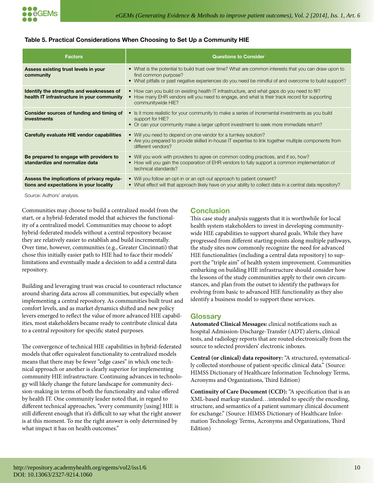#### **Table 5. Practical Considerations When Choosing to Set Up a Community HIE**

| <b>Factors</b>                                                                         | <b>Questions to Consider</b>                                                                                                                                                                                                           |
|----------------------------------------------------------------------------------------|----------------------------------------------------------------------------------------------------------------------------------------------------------------------------------------------------------------------------------------|
| Assess existing trust levels in your<br>community                                      | • What is the potential to build trust over time? What are common interests that you can draw upon to<br>find common purpose?<br>• What pitfalls or past negative experiences do you need be mindful of and overcome to build support? |
| Identify the strengths and weaknesses of<br>health IT infrastructure in your community | • How can you build on existing health IT infrastructure, and what gaps do you need to fill?<br>• How many EHR vendors will you need to engage, and what is their track record for supporting<br>communitywide HIE?                    |
| Consider sources of funding and timing of<br>investments                               | • Is it more realistic for your community to make a series of incremental investments as you build<br>support for HIE?<br>• Or can your community make a larger upfront investment to seek more immediate return?                      |
| Carefully evaluate HIE vendor capabilities                                             | • Will you need to depend on one vendor for a turnkey solution?<br>• Are you prepared to provide skilled in-house IT expertise to link together multiple components from<br>different vendors?                                         |
| Be prepared to engage with providers to<br>standardize and normalize data              | • Will you work with providers to agree on common coding practices, and if so, how?<br>• How will you gain the cooperation of EHR vendors to fully support a common implementation of<br>technical standards?                          |
| Assess the implications of privacy regula-<br>tions and expectations in your locality  | • Will you follow an opt-in or an opt-out approach to patient consent?<br>• What effect will that approach likely have on your ability to collect data in a central data repository?                                                   |

Source: Authors' analysis.

Communities may choose to build a centralized model from the start, or a hybrid-federated model that achieves the functionality of a centralized model. Communities may choose to adopt hybrid-federated models without a central repository because they are relatively easier to establish and build incrementally. Over time, however, communities (e.g., Greater Cincinnati) that chose this initially easier path to HIE had to face their models' limitations and eventually made a decision to add a central data repository.

Building and leveraging trust was crucial to counteract reluctance around sharing data across all communities, but especially when implementing a central repository. As communities built trust and comfort levels, and as market dynamics shifted and new policy levers emerged to reflect the value of more advanced HIE capabilities, most stakeholders became ready to contribute clinical data to a central repository for specific stated purposes.

The convergence of technical HIE capabilities in hybrid-federated models that offer equivalent functionality to centralized models means that there may be fewer "edge cases" in which one technical approach or another is clearly superior for implementing community HIE infrastructure. Continuing advances in technology will likely change the future landscape for community decision-making in terms of both the functionality and value offered by health IT. One community leader noted that, in regard to different technical approaches, "every community [using] HIE is still different enough that it's difficult to say what the right answer is at this moment. To me the right answer is only determined by what impact it has on health outcomes."

# **Conclusion**

This case study analysis suggests that it is worthwhile for local health system stakeholders to invest in developing communitywide HIE capabilities to support shared goals. While they have progressed from different starting points along multiple pathways, the study sites now commonly recognize the need for advanced HIE functionalities (including a central data repository) to support the "triple aim" of health system improvement. Communities embarking on building HIE infrastructure should consider how the lessons of the study communities apply to their own circumstances, and plan from the outset to identify the pathways for evolving from basic to advanced HIE functionality as they also identify a business model to support these services.

## **Glossary**

**Automated Clinical Messages:** clinical notifications such as hospital Admission-Discharge-Transfer (ADT) alerts, clinical tests, and radiology reports that are routed electronically from the source to selected providers' electronic inboxes.

**Central (or clinical) data repository:** "A structured, systematically collected storehouse of patient-specific clinical data." (Source: HIMSS Dictionary of Healthcare Information Technology Terms, Acronyms and Organizations, Third Edition)

**Continuity of Care Document (CCD):** "A specification that is an XML-based markup standard…intended to specify the encoding, structure, and semantics of a patient summary clinical document for exchange." (Source: HIMSS Dictionary of Healthcare Information Technology Terms, Acronyms and Organizations, Third Edition)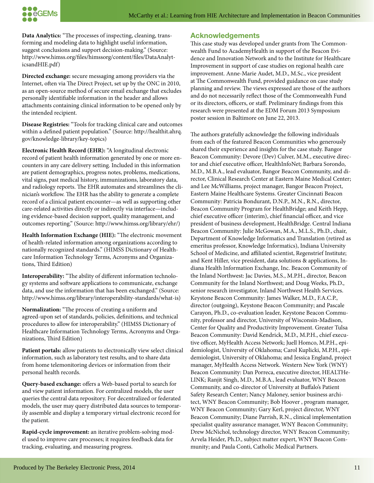

**Data Analytics:** "The processes of inspecting, cleaning, transforming and modeling data to highlight useful information, suggest conclusions and support decision-making." (Source: http://www.himss.org/files/himssorg/content/files/DataAnalyticsandHIE.pdf)

**Directed exchange:** secure messaging among providers via the Internet, often via The Direct Project, set up by the ONC in 2010, as an open-source method of secure email exchange that excludes personally identifiable information in the header and allows attachments containing clinical information to be opened only by the intended recipient.

**Disease Registries:** "Tools for tracking clinical care and outcomes within a defined patient population." (Source: http://healthit.ahrq. gov/knowledge-library/key-topics)

**Electronic Health Record (EHR):** "A longitudinal electronic record of patient health information generated by one or more encounters in any care delivery setting. Included in this information are patient demographics, progress notes, problems, medications, vital signs, past medical history, immunizations, laboratory data, and radiology reports. The EHR automates and streamlines the clinician's workflow. The EHR has the ability to generate a complete record of a clinical patient encounter—as well as supporting other care-related activities directly or indirectly via interface—including evidence-based decision support, quality management, and outcomes reporting." (Source: http://www.himss.org/library/ehr/)

**Health Information Exchange (HIE):** "The electronic movement of health-related information among organizations according to nationally recognized standards." (HIMSS Dictionary of Healthcare Information Technology Terms, Acronyms and Organizations, Third Edition)

**Interoperability:** "The ability of different information technology systems and software applications to communicate, exchange data, and use the information that has been exchanged." (Source: http://www.himss.org/library/interoperability-standards/what-is)

**Normalization:** "The process of creating a uniform and agreed-upon set of standards, policies, definitions, and technical procedures to allow for interoperability." (HIMSS Dictionary of Healthcare Information Technology Terms, Acronyms and Organizations, Third Edition)

**Patient portals:** allow patients to electronically view select clinical information, such as laboratory test results, and to share data from home telemonitoring devices or information from their personal health records.

**Query-based exchange:** offers a Web-based portal to search for and view patient information. For centralized models, the user queries the central data repository. For decentralized or federated models, the user may query distributed data sources to temporarily assemble and display a temporary virtual electronic record for the patient.

**Rapid-cycle improvement:** an iterative problem-solving model used to improve care processes; it requires feedback data for tracking, evaluating, and measuring progress.

# **Acknowledgements**

This case study was developed under grants from The Commonwealth Fund to AcademyHealth in support of the Beacon Evidence and Innovation Network and to the Institute for Healthcare Improvement in support of case studies on regional health care improvement. Anne-Marie Audet, M.D., M.Sc., vice president at The Commonwealth Fund, provided guidance on case study planning and review. The views expressed are those of the authors and do not necessarily reflect those of the Commonwealth Fund or its directors, officers, or staff. Preliminary findings from this research were presented at the EDM Forum 2013 Symposium poster session in Baltimore on June 22, 2013.

The authors gratefully acknowledge the following individuals from each of the featured Beacon Communities who generously shared their experience and insights for the case study. Bangor Beacon Community: Devore (Dev) Culver, M.M., executive director and chief executive officer, HealthInfoNet; Barbara Sorondo, M.D., M.B.A., lead evaluator, Bangor Beacon Community, and director, Clinical Research Center at Eastern Maine Medical Center; and Lee McWilliams, project manager, Bangor Beacon Project, Eastern Maine Healthcare Systems. Greater Cincinnati Beacon Community: Patricia Bondurant, D.N.P., M.N., R.N., director, Beacon Community Program for HealthBridge; and Keith Hepp, chief executive officer (interim), chief financial officer, and vice president of business development, HealthBridge. Central Indiana Beacon Community: Julie McGowan, M.A., M.L.S., Ph.D., chair, Department of Knowledge Informatics and Translation (retired as emeritus professor, Knowledge Informatics), Indiana University School of Medicine, and affiliated scientist, Regenstrief Institute; and Kent Hiller, vice president, data solutions & applications, Indiana Health Information Exchange, Inc. Beacon Community of the Inland Northwest: Jac Davies, M.S., M.P.H., director, Beacon Community for the Inland Northwest; and Doug Weeks, Ph.D., senior research investigator, Inland Northwest Health Services. Keystone Beacon Community: James Walker, M.D., F.A.C.P., director (outgoing), Keystone Beacon Community; and Pascale Carayon, Ph.D., co-evaluation leader, Keystone Beacon Community, professor and director, University of Wisconsin-Madison, Center for Quality and Productivity Improvement. Greater Tulsa Beacon Community: David Kendrick, M.D., M.P.H., chief executive officer, MyHealth Access Network; Juell Homco, M.P.H., epidemiologist, University of Oklahoma; Carol Kuplicki, M.P.H., epidemiologist, University of Oklahoma; and Jessica England, project manager, MyHealth Access Network. Western New York (WNY) Beacon Community: Dan Porreca, executive director, HEALTHe-LINK; Ranjit Singh, M.D., M.B.A., lead evaluator, WNY Beacon Community, and co-director of University at Buffalo's Patient Safety Research Center; Nancy Maloney, senior business architect, WNY Beacon Community; Bob Hoover , program manager, WNY Beacon Community; Gary Kerl, project director, WNY Beacon Community; Diane Parrish, R.N., clinical implementation specialist quality assurance manager, WNY Beacon Community; Drew McNichol, technology director, WNY Beacon Community; Arvela Heider, Ph.D., subject matter expert, WNY Beacon Community; and Paula Conti, Catholic Medical Partners.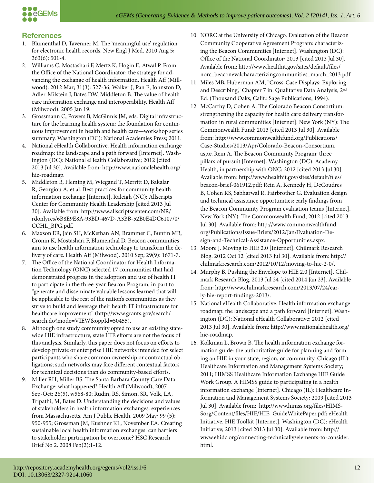

# **References**

- 1. Blumenthal D, Tavenner M. The 'meaningful use' regulation for electronic health records. New Engl J Med. 2010 Aug 5; 363(6): 501-4.
- 2. Williams C, Mostashari F, Mertz K, Hogin E, Atwal P. From the Office of the National Coordinator: the strategy for advancing the exchange of health information. Health Aff (Millwood). 2012 Mar; 31(3): 527-36; Walker J, Pan E, Johnston D, Adler-Milstein J, Bates DW, Middleton B. The value of health care information exchange and interoperability. Health Aff (Milwood). 2005 Jan 19.
- 3. Grossmann C, Powers B, McGinnis JM, eds. Digital infrastructure for the learning health system: the foundation for continuous improvement in health and health care—workshop series summary. Washington (DC): National Academies Press; 2011.
- 4. National eHealth Collaborative. Health information exchange roadmap: the landscape and a path forward [Internet]. Washington (DC): National eHealth Collaborative; 2012 [cited 2013 Jul 30]. Available from: http://www.nationalehealth.org/ hie-roadmap.
- 5. Middleton B, Fleming M, Wiegand T, Merritt D, Bakalar R, Georgiou A, et al. Best practices for community health information exchange [Internet]. Raleigh (NC): Allscripts Center for Community Health Leadership [cited 2013 Jul 30]. Available from: http://www.allscriptscenter.com/NR/ rdonlyres/6B8E9E8A-93BD-467D-A3BB-52B0E4DC6107/0/ CCHL\_BPG.pdf.
- 6. Maxson ER, Jain SH, McKethan AN, Brammer C, Buntin MB, Cronin K, Mostashari F, Blumenthal D. Beacon communities aim to use health information technology to transform the delivery of care. Health Aff (Milwood). 2010 Sep; 29(9): 1671-7.
- 7. The Office of the National Coordinator for Health Information Technology (ONC) selected 17 communities that had demonstrated progress in the adoption and use of health IT to participate in the three-year Beacon Program, in part to "generate and disseminate valuable lessons learned that will be applicable to the rest of the nation's communities as they strive to build and leverage their health IT infrastructure for healthcare improvement" (http://www.grants.gov/search/ search.do?mode=VIEW&oppId=50455).
- 8. Although one study community opted to use an existing statewide HIE infrastructure, state HIE efforts are not the focus of this analysis. Similarly, this paper does not focus on efforts to develop private or enterprise HIE networks intended for select participants who share common ownership or contractual obligations; such networks may face different contextual factors for technical decisions than do community-based efforts.
- 9. Miller RH, Miller BS. The Santa Barbara County Care Data Exchange: what happened? Health Aff (Milwood), 2007 Sep-Oct; 26(5), w568-80; Rudin, RS, Simon, SR, Volk, LA, Tripathi, M, Bates D. Understanding the decisions and values of stakeholders in health information exchanges: experiences from Massachusetts. Am J Public Health. 2009 May; 99 (5): 950-955; Grossman JM, Kushner KL, November EA. Creating sustainable local health information exchanges: can barriers to stakeholder participation be overcome? HSC Research Brief No 2. 2008 Feb(2):1-12.
- 10. NORC at the University of Chicago. Evaluation of the Beacon Community Cooperative Agreement Program: characterizing the Beacon Communities [Internet]. Washington (DC): Office of the National Coordinator; 2013 [cited 2013 Jul 30]. Available from: http://www.healthit.gov/sites/default/files/ norc\_beaconevalcharacterizingcommunities\_march\_2013.pdf.
- 11. Miles MB, Huberman AM, "Cross-Case Displays: Exploring and Describing," Chapter 7 in: Qualitative Data Analysis, 2<sup>nd</sup> Ed. (Thousand Oaks, Calif.: Sage Publications, 1994).
- 12. McCarthy D, Cohen A. The Colorado Beacon Consortium: strengthening the capacity for health care delivery transformation in rural communities [Internet]. New York (NY): The Commonwealth Fund; 2013 [cited 2013 Jul 30]. Available from: http://www.commonwealthfund.org/Publications/ Case-Studies/2013/Apr/Colorado-Beacon-Consortium. aspx; Rein A. The Beacon Community Program: three pillars of pursuit [Internet]. Washington (DC): Academy-Health, in partnership with ONC; 2012 [cited 2013 Jul 30]. Available from: http://www.healthit.gov/sites/default/files/ beacon-brief-061912.pdf; Rein A, Kennedy H, DeCoudres B, Cohen RS, Sabharwal R, Fairbrother G. Evaluation design and technical assistance opportunities: early findings from the Beacon Community Program evaluation teams [Internet]. New York (NY): The Commonwealth Fund; 2012 [cited 2013 Jul 30]. Available from: http://www.commonwealthfund. org/Publications/Issue-Briefs/2012/Jan/Evaluation-Design-and-Technical-Assistance-Opportunities.aspx.
- 13. Moore J. Moving to HIE 2.0 [Internet]. Chilmark Research Blog. 2012 Oct 12 [cited 2013 Jul 30]. Available from: http:// chilmarkresearch.com/2012/10/12/moving-to-hie-2-0/.
- 14. Murphy B. Pushing the Envelope to HIE 2.0 [Internet]. Chilmark Research Blog. 2013 Jul 24 [cited 2014 Jan 23]. Available from: http://www.chilmarkresearch.com/2013/07/24/early-hie-report-findings-2013/.
- 15. National eHealth Collaborative. Health information exchange roadmap: the landscape and a path forward [Internet]. Washington (DC): National eHealth Collaborative; 2012 [cited 2013 Jul 30]. Available from: http://www.nationalehealth.org/ hie-roadmap.
- 16. Kolkman L, Brown B. The health information exchange formation guide: the authoritative guide for planning and forming an HIE in your state, region, or community. Chicago (IL): Healthcare Information and Management Systems Society; 2011; HIMSS Healthcare Information Exchange HIE Guide Work Group. A HIMSS guide to participating in a health information exchange [Internet]. Chicago (IL): Healthcare Information and Management Systems Society; 2009 [cited 2013 Jul 30]. Available from: http://www.himss.org/files/HIMS-Sorg/Content/files/HIE/HIE\_GuideWhitePaper.pdf; eHealth Initiative. HIE Toolkit [Internet]. Washington (DC): eHealth Initiative; 2013 [cited 2013 Jul 30]. Available from: http:// www.ehidc.org/connecting-technically/elements-to-consider. html.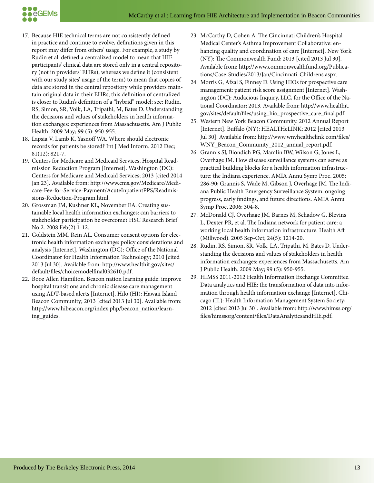

- 17. Because HIE technical terms are not consistently defined in practice and continue to evolve, definitions given in this report may differ from others' usage. For example, a study by Rudin et al. defined a centralized model to mean that HIE participants' clinical data are stored only in a central repository (not in providers' EHRs), whereas we define it (consistent with our study sites' usage of the term) to mean that copies of data are stored in the central repository while providers maintain original data in their EHRs; this definition of centralized is closer to Rudin's definition of a "hybrid" model; see: Rudin, RS, Simon, SR, Volk, LA, Tripathi, M, Bates D. Understanding the decisions and values of stakeholders in health information exchanges: experiences from Massachusetts. Am J Public Health. 2009 May; 99 (5): 950-955.
- 18. Lapsia V, Lamb K, Yasnoff WA. Where should electronic records for patients be stored? Int J Med Inform. 2012 Dec; 81(12): 821-7.
- 19. Centers for Medicare and Medicaid Services, Hospital Readmission Reduction Program [Internet]. Washington (DC): Centers for Medicare and Medicaid Services; 2013 [cited 2014 Jan 23]. Available from: http://www.cms.gov/Medicare/Medicare-Fee-for-Service-Payment/AcuteInpatientPPS/Readmissions-Reduction-Program.html.
- 20. Grossman JM, Kushner KL, November EA. Creating sustainable local health information exchanges: can barriers to stakeholder participation be overcome? HSC Research Brief No 2. 2008 Feb(2):1-12.
- 21. Goldstein MM, Rein AL. Consumer consent options for electronic health information exchange: policy considerations and analysis [Internet]. Washington (DC): Office of the National Coordinator for Health Information Technology; 2010 [cited 2013 Jul 30]. Available from: http://www.healthit.gov/sites/ default/files/choicemodelfinal032610.pdf.
- 22. Booz Allen Hamilton. Beacon nation learning guide: improve hospital transitions and chronic disease care management using ADT-based alerts [Internet]. Hilo (HI): Hawaii Island Beacon Community; 2013 [cited 2013 Jul 30]. Available from: http://www.hibeacon.org/index.php/beacon\_nation/learning\_guides.
- 23. McCarthy D, Cohen A. The Cincinnati Children's Hospital Medical Center's Asthma Improvement Collaborative: enhancing quality and coordination of care [Internet]. New York (NY): The Commonwealth Fund; 2013 [cited 2013 Jul 30]. Available from: http://www.commonwealthfund.org/Publications/Case-Studies/2013/Jan/Cincinnati-Childrens.aspx.
- 24. Morris G, Afzal S, Finney D. Using HIOs for prospective care management: patient risk score assignment [Internet]. Washington (DC): Audacious Inquiry, LLC, for the Office of the National Coordinator; 2013. Available from: http://www.healthit. gov/sites/default/files/using\_hio\_prospective\_care\_final.pdf.
- 25. Western New York Beacon Community. 2012 Annual Report [Internet]. Buffalo (NY): HEALTHeLINK; 2012 [cited 2013] Jul 30]. Available from: http://www.wnyhealthelink.com/files/ WNY\_Beacon\_Community\_2012\_annual\_report.pdf.
- 26. Grannis SJ, Biondich PG, Mamlin BW, Wilson G, Jones L, Overhage JM. How disease surveillance systems can serve as practical building blocks for a health information infrastructure: the Indiana experience. AMIA Annu Symp Proc. 2005: 286-90; Grannis S, Wade M, Gibson J, Overhage JM. The Indiana Public Health Emergency Surveillance System: ongoing progress, early findings, and future directions. AMIA Annu Symp Proc. 2006: 304-8.
- 27. McDonald CJ, Overhage JM, Barnes M, Schadow G, Blevins L, Dexter PR, et al. The Indiana network for patient care: a working local health information infrastructure. Health Aff (Millwood). 2005 Sep-Oct; 24(5): 1214-20.
- 28. Rudin, RS, Simon, SR, Volk, LA, Tripathi, M, Bates D. Understanding the decisions and values of stakeholders in health information exchanges: experiences from Massachusetts. Am J Public Health. 2009 May; 99 (5): 950-955.
- 29. HIMSS 2011-2012 Health Information Exchange Committee. Data analytics and HIE: the transformation of data into information through health information exchange [Internet]. Chicago (IL): Health Information Management System Society; 2012 [cited 2013 Jul 30]. Available from: http://www.himss.org/ files/himssorg/content/files/DataAnalyticsandHIE.pdf.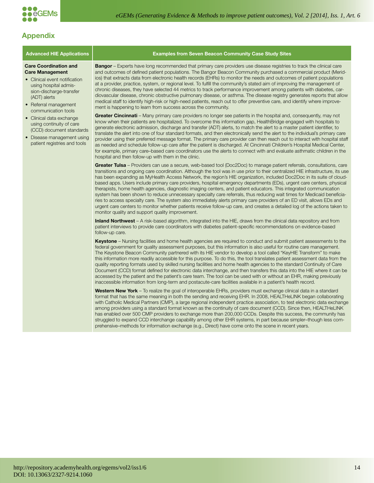

# **Appendix**

#### **Care Coordination and Care Management**

- Clinical event notification using hospital admission-discharge-transfer (ADT) alerts
- Referral management communication tools
- Clinical data exchange using continuity of care (CCD) document standards
- Disease management using patient registries and tools

#### **Advanced HIE Applications | William Sexamples from Seven Beacon Community Case Study Sites**

**Bangor** – Experts have long recommended that primary care providers use disease registries to track the clinical care and outcomes of defined patient populations. The Bangor Beacon Community purchased a commercial product (Meridios) that extracts data from electronic health records (EHRs) to monitor the needs and outcomes of patient populations at a provider, practice, system, or regional level. To fulfill the community's stated aim of improving the management of chronic diseases, they have selected 44 metrics to track performance improvement among patients with diabetes, cardiovascular disease, chronic obstructive pulmonary disease, or asthma. The disease registry generates reports that allow medical staff to identify high-risk or high-need patients, reach out to offer preventive care, and identify where improvement is happening to learn from success across the community.

**Greater Cincinnati** – Many primary care providers no longer see patients in the hospital and, consequently, may not know when their patients are hospitalized. To overcome this information gap, HealthBridge engaged with hospitals to generate electronic admission, discharge and transfer (ADT) alerts, to match the alert to a master patient identifier, to translate the alert into one of four standard formats, and then electronically send the alert to the individual's primary care provider using their preferred message format. The primary care provider can then reach out to interact with hospital staff as needed and schedule follow-up care after the patient is discharged. At Cincinnati Children's Hospital Medical Center, for example, primary care–based care coordinators use the alerts to connect with and evaluate asthmatic children in the hospital and then follow-up with them in the clinic.

**Greater Tulsa** – Providers can use a secure, web-based tool (Doc2Doc) to manage patient referrals, consultations, care transitions and ongoing care coordination. Although the tool was in use prior to their centralized HIE infrastructure, its use has been expanding as MyHealth Access Network, the region's HIE organization, included Doc2Doc in its suite of cloudbased apps. Users include primary care providers, hospital emergency departments (EDs), urgent care centers, physical therapists, home health agencies, diagnostic imaging centers, and patient educators. This integrated communication system has been shown to reduce unnecessary specialty care referrals, thus reducing wait times for Medicaid beneficiaries to access specialty care. The system also immediately alerts primary care providers of an ED visit, allows EDs and urgent care centers to monitor whether patients receive follow-up care, and creates a detailed log of the actions taken to monitor quality and support quality improvement.

**Inland Northwest** – A risk-based algorithm, integrated into the HIE, draws from the clinical data repository and from patient interviews to provide care coordinators with diabetes patient-specific recommendations on evidence-based follow-up care.

**Keystone** – Nursing facilities and home health agencies are required to conduct and submit patient assessments to the federal government for quality assessment purposes, but this information is also useful for routine care management. The Keystone Beacon Community partnered with its HIE vendor to develop a tool called "KeyHIE Transform" to make this information more readily accessible for this purpose. To do this, the tool translates patient assessment data from the quality reporting formats used by skilled nursing facilities and home health agencies to the standard Continuity of Care Document (CCD) format defined for electronic data interchange, and then transfers this data into the HIE where it can be accessed by the patient and the patient's care team. The tool can be used with or without an EHR, making previously inaccessible information from long-term and postacute-care facilities available in a patient's health record.

**Western New York** – To realize the goal of interoperable EHRs, providers must exchange clinical data in a standard format that has the same meaning in both the sending and receiving EHR. In 2008, HEALTHeLINK began collaborating with Catholic Medical Partners (CMP), a large regional independent practice association, to test electronic data exchange among providers using a standard format known as the continuity of care document (CCD). Since then, HEALTHeLINK has enabled over 500 CMP providers to exchange more than 200,000 CCDs. Despite this success, the community has struggled to expand CCD interchange capability among other EHR systems, in part because simpler–though less comprehensive–methods for information exchange (e.g., Direct) have come onto the scene in recent years.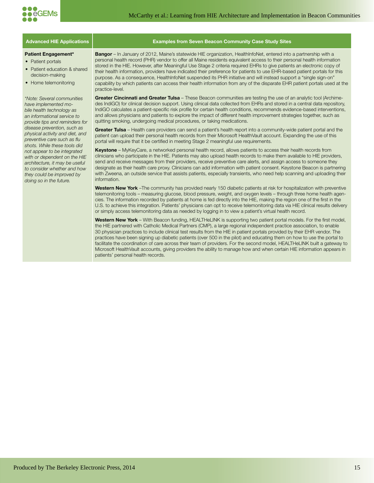

#### **Advanced HIE Applications Examples from Seven Beacon Community Case Study Sites**

#### **Patient Engagement\***

- Patient portals
- Patient education & shared decision-making
- Home telemonitoring

*\*Note: Several communities have implemented mobile health technology as an informational service to provide tips and reminders for disease prevention, such as physical activity and diet, and*  preventive care such as flu *shots. While these tools did not appear to be integrated with or dependent on the HIE architecture, it may be useful to consider whether and how they could be improved by doing so in the future.*

**Bangor** – In January of 2012, Maine's statewide HIE organization, HealthInfoNet, entered into a partnership with a personal health record (PHR) vendor to offer all Maine residents equivalent access to their personal health information stored in the HIE. However, after Meaningful Use Stage 2 criteria required EHRs to give patients an electronic copy of their health information, providers have indicated their preference for patients to use EHR-based patient portals for this purpose. As a consequence, HealthInfoNet suspended its PHR initiative and will instead support a "single sign-on" capability by which patients can access their health information from any of the disparate EHR patient portals used at the practice-level.

**Greater Cincinnati and Greater Tulsa** – These Beacon communities are testing the use of an analytic tool (Archimedes IndiGO) for clinical decision support. Using clinical data collected from EHRs and stored in a central data repository, IndiGO calculates a patient-specific risk profile for certain health conditions, recommends evidence-based interventions, and allows physicians and patients to explore the impact of different health improvement strategies together, such as quitting smoking, undergoing medical procedures, or taking medications.

**Greater Tulsa** – Health care providers can send a patient's health report into a community-wide patient portal and the patient can upload their personal health records from their Microsoft HealthVault account. Expanding the use of this portal will require that it be certified in meeting Stage 2 meaningful use requirements.

**Keystone** – MyKeyCare, a networked personal health record, allows patients to access their health records from clinicians who participate in the HIE. Patients may also upload health records to make them available to HIE providers, send and receive messages from their providers, receive preventive care alerts, and assign access to someone they designate as their health care proxy. Clinicians can add information with patient consent. Keystone Beacon is partnering with Zweena, an outside service that assists patients, especially transients, who need help scanning and uploading their information.

**Western New York** –The community has provided nearly 150 diabetic patients at risk for hospitalization with preventive telemonitoring tools – measuring glucose, blood pressure, weight, and oxygen levels – through three home health agencies. The information recorded by patients at home is fed directly into the HIE, making the region one of the first in the U.S. to achieve this integration. Patients' physicians can opt to receive telemonitoring data via HIE clinical results delivery or simply access telemonitoring data as needed by logging in to view a patient's virtual health record.

Western New York - With Beacon funding, HEALTHeLINK is supporting two patient portal models. For the first model, the HIE partnered with Catholic Medical Partners (CMP), a large regional independent practice association, to enable 30 physician practices to include clinical test results from the HIE in patient portals provided by their EHR vendor. The practices have been signing up diabetic patients (over 500 in the pilot) and educating them on how to use the portal to facilitate the coordination of care across their team of providers. For the second model, HEALTHeLINK built a gateway to Microsoft HealthVault accounts, giving providers the ability to manage how and when certain HIE information appears in patients' personal health records.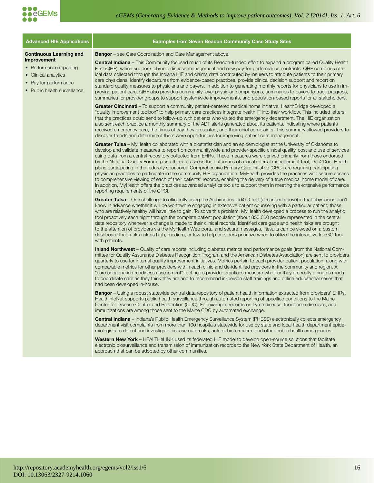

**Improvement**

| <b>Advanced HIE Applications</b>                                                                                        | <b>Examples from Seven Beacon Community Case Study Sites</b>                                                                                                                                                                                                                                                                                                                                                                                                                                                                                                                                                                                                                                                                                                                                                                                                                                                                                                                                                                                            |
|-------------------------------------------------------------------------------------------------------------------------|---------------------------------------------------------------------------------------------------------------------------------------------------------------------------------------------------------------------------------------------------------------------------------------------------------------------------------------------------------------------------------------------------------------------------------------------------------------------------------------------------------------------------------------------------------------------------------------------------------------------------------------------------------------------------------------------------------------------------------------------------------------------------------------------------------------------------------------------------------------------------------------------------------------------------------------------------------------------------------------------------------------------------------------------------------|
| <b>Continuous Learning and</b>                                                                                          | <b>Bangor</b> – see Care Coordination and Care Management above.                                                                                                                                                                                                                                                                                                                                                                                                                                                                                                                                                                                                                                                                                                                                                                                                                                                                                                                                                                                        |
| Improvement<br>• Performance reporting<br>• Clinical analytics<br>• Pay for performance<br>• Public health surveillance | <b>Central Indiana</b> – This Community focused much of its Beacon-funded effort to expand a program called Quality Health<br>First (QHF), which supports chronic disease management and new pay-for-performance contracts. QHF combines clin-<br>ical data collected through the Indiana HIE and claims data contributed by insurers to attribute patients to their primary<br>care physicians, identify departures from evidence-based practices, provide clinical decision support and report on<br>standard quality measures to physicians and payers. In addition to generating monthly reports for physicians to use in im-<br>proving patient care, QHF also provides community-level physician comparisons, summaries to payers to track progress,<br>summaries for provider groups to support systemwide improvements, and population-based reports for all stakeholders.                                                                                                                                                                      |
|                                                                                                                         | <b>Greater Cincinnati</b> – To support a community patient-centered medical home initiative, Health Bridge developed a<br>"quality improvement toolbox" to help primary care practices integrate health IT into their workflow. This included letters<br>that the practices could send to follow-up with patients who visited the emergency department. The HIE organization<br>also sent each practice a monthly summary of the ADT alerts generated about its patients, indicating where patients<br>received emergency care, the times of day they presented, and their chief complaints. This summary allowed providers to<br>discover trends and determine if there were opportunities for improving patient care management.                                                                                                                                                                                                                                                                                                                      |
|                                                                                                                         | Greater Tulsa - MyHealth collaborated with a biostatistician and an epidemiologist at the University of Oklahoma to<br>develop and validate measures to report on communitywide and provider-specific clinical quality, cost and use of services<br>using data from a central repository collected from EHRs. These measures were derived primarily from those endorsed<br>by the National Quality Forum, plus others to assess the outcomes of a local referral management tool, Doc2Doc. Health<br>plans participating in the federally sponsored Comprehensive Primary Care initiative (CPCi) are requiring participating<br>physician practices to participate in the community HIE organization. MyHealth provides the practices with secure access<br>to comprehensive viewing of each of their patients' records, enabling the delivery of a true medical home model of care.<br>In addition, MyHealth offers the practices advanced analytics tools to support them in meeting the extensive performance<br>reporting requirements of the CPCi. |
|                                                                                                                         | Greater Tulsa – One challenge to efficiently using the Archimedes IndiGO tool (described above) is that physicians don't<br>know in advance whether it will be worthwhile engaging in extensive patient counseling with a particular patient; those<br>who are relatively healthy will have little to gain. To solve this problem, MyHealth developed a process to run the analytic<br>tool proactively each night through the complete patient population (about 850,000 people) represented in the central<br>data repository whenever a change is made to their clinical records. Identified care gaps and health risks are brought<br>to the attention of providers via the MyHealth Web portal and secure messages. Results can be viewed on a custom<br>dashboard that ranks risk as high, medium, or low to help providers prioritize when to utilize the interactive IndiGO tool<br>with patients.                                                                                                                                              |
|                                                                                                                         | <b>Inland Northwest</b> – Quality of care reports including diabetes metrics and performance goals (from the National Com-<br>mittee for Quality Assurance Diabetes Recognition Program and the American Diabetes Association) are sent to providers<br>quarterly to use for internal quality improvement initiatives. Metrics pertain to each provider patient population, along with<br>comparable metrics for other providers within each clinic and de-identified providers in the community and region. A<br>"care coordination readiness assessment" tool helps provider practices measure whether they are really doing as much<br>to coordinate care as they think they are and to recommend in-person staff trainings and online educational series that<br>had been developed in-house.                                                                                                                                                                                                                                                       |

**Bangor** – Using a robust statewide central data repository of patient health information extracted from providers' EHRs, HealthInfoNet supports public health surveillance through automated reporting of specified conditions to the Maine Center for Disease Control and Prevention (CDC). For example, records on Lyme disease, foodborne diseases, and immunizations are among those sent to the Maine CDC by automated exchange.

**Central Indiana** – Indiana's Public Health Emergency Surveillance System (PHESS) electronically collects emergency department visit complaints from more than 100 hospitals statewide for use by state and local health department epidemiologists to detect and investigate disease outbreaks, acts of bioterrorism, and other public health emergencies.

**Western New York** – HEALTHeLINK used its federated HIE model to develop open-source solutions that facilitate electronic biosurveillance and transmission of immunization records to the New York State Department of Health, an approach that can be adopted by other communities.